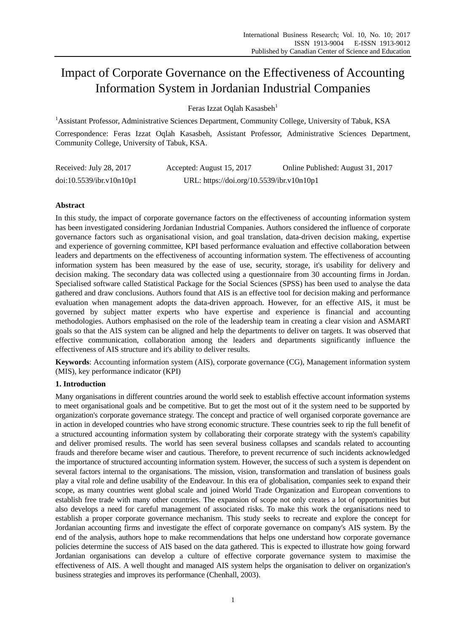# Impact of Corporate Governance on the Effectiveness of Accounting Information System in Jordanian Industrial Companies

Feras Izzat Oqlah Kasasbeh<sup>1</sup>

<sup>1</sup>Assistant Professor, Administrative Sciences Department, Community College, University of Tabuk, KSA

Correspondence: Feras Izzat Oqlah Kasasbeh, Assistant Professor, Administrative Sciences Department, Community College, University of Tabuk, KSA.

| Received: July 28, 2017  | Accepted: August 15, 2017                 | Online Published: August 31, 2017 |
|--------------------------|-------------------------------------------|-----------------------------------|
| doi:10.5539/ibr.v10n10p1 | URL: https://doi.org/10.5539/ibr.v10n10p1 |                                   |

# **Abstract**

In this study, the impact of corporate governance factors on the effectiveness of accounting information system has been investigated considering Jordanian Industrial Companies. Authors considered the influence of corporate governance factors such as organisational vision, and goal translation, data-driven decision making, expertise and experience of governing committee, KPI based performance evaluation and effective collaboration between leaders and departments on the effectiveness of accounting information system. The effectiveness of accounting information system has been measured by the ease of use, security, storage, it's usability for delivery and decision making. The secondary data was collected using a questionnaire from 30 accounting firms in Jordan. Specialised software called Statistical Package for the Social Sciences (SPSS) has been used to analyse the data gathered and draw conclusions. Authors found that AIS is an effective tool for decision making and performance evaluation when management adopts the data-driven approach. However, for an effective AIS, it must be governed by subject matter experts who have expertise and experience is financial and accounting methodologies. Authors emphasised on the role of the leadership team in creating a clear vision and ASMART goals so that the AIS system can be aligned and help the departments to deliver on targets. It was observed that effective communication, collaboration among the leaders and departments significantly influence the effectiveness of AIS structure and it's ability to deliver results.

**Keywords**: Accounting information system (AIS), corporate governance (CG), Management information system (MIS), key performance indicator (KPI)

# **1. Introduction**

Many organisations in different countries around the world seek to establish effective account information systems to meet organisational goals and be competitive. But to get the most out of it the system need to be supported by organization's corporate governance strategy. The concept and practice of well organised corporate governance are in action in developed countries who have strong economic structure. These countries seek to rip the full benefit of a structured accounting information system by collaborating their corporate strategy with the system's capability and deliver promised results. The world has seen several business collapses and scandals related to accounting frauds and therefore became wiser and cautious. Therefore, to prevent recurrence of such incidents acknowledged the importance of structured accounting information system. However, the success of such a system is dependent on several factors internal to the organisations. The mission, vision, transformation and translation of business goals play a vital role and define usability of the Endeavour. In this era of globalisation, companies seek to expand their scope, as many countries went global scale and joined World Trade Organization and European conventions to establish free trade with many other countries. The expansion of scope not only creates a lot of opportunities but also develops a need for careful management of associated risks. To make this work the organisations need to establish a proper corporate governance mechanism. This study seeks to recreate and explore the concept for Jordanian accounting firms and investigate the effect of corporate governance on company's AIS system. By the end of the analysis, authors hope to make recommendations that helps one understand how corporate governance policies determine the success of AIS based on the data gathered. This is expected to illustrate how going forward Jordanian organisations can develop a culture of effective corporate governance system to maximise the effectiveness of AIS. A well thought and managed AIS system helps the organisation to deliver on organization's business strategies and improves its performance (Chenhall, 2003).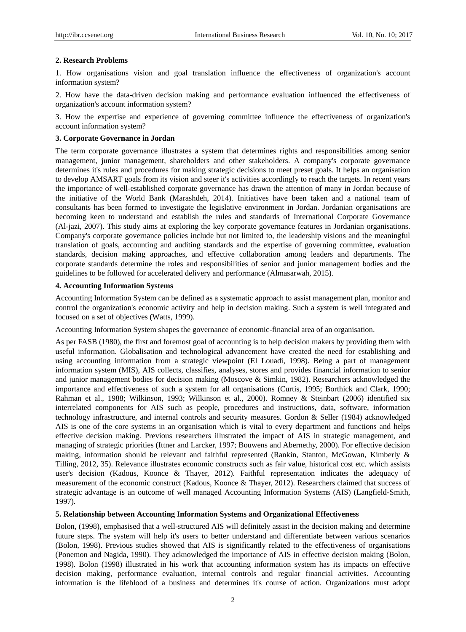#### **2. Research Problems**

1. How organisations vision and goal translation influence the effectiveness of organization's account information system?

2. How have the data-driven decision making and performance evaluation influenced the effectiveness of organization's account information system?

3. How the expertise and experience of governing committee influence the effectiveness of organization's account information system?

#### **3. Corporate Governance in Jordan**

The term corporate governance illustrates a system that determines rights and responsibilities among senior management, junior management, shareholders and other stakeholders. A company's corporate governance determines it's rules and procedures for making strategic decisions to meet preset goals. It helps an organisation to develop AMSART goals from its vision and steer it's activities accordingly to reach the targets. In recent years the importance of well-established corporate governance has drawn the attention of many in Jordan because of the initiative of the World Bank (Marashdeh, 2014). Initiatives have been taken and a national team of consultants has been formed to investigate the legislative environment in Jordan. Jordanian organisations are becoming keen to understand and establish the rules and standards of International Corporate Governance (Al-jazi, 2007). This study aims at exploring the key corporate governance features in Jordanian organisations. Company's corporate governance policies include but not limited to, the leadership visions and the meaningful translation of goals, accounting and auditing standards and the expertise of governing committee, evaluation standards, decision making approaches, and effective collaboration among leaders and departments. The corporate standards determine the roles and responsibilities of senior and junior management bodies and the guidelines to be followed for accelerated delivery and performance (Almasarwah, 2015).

#### **4. Accounting Information Systems**

Accounting Information System can be defined as a systematic approach to assist management plan, monitor and control the organization's economic activity and help in decision making. Such a system is well integrated and focused on a set of objectives (Watts, 1999).

Accounting Information System shapes the governance of economic-financial area of an organisation.

As per FASB (1980), the first and foremost goal of accounting is to help decision makers by providing them with useful information. Globalisation and technological advancement have created the need for establishing and using accounting information from a strategic viewpoint (El Louadi, 1998). Being a part of management information system (MIS), AIS collects, classifies, analyses, stores and provides financial information to senior and junior management bodies for decision making (Moscove & Simkin, 1982). Researchers acknowledged the importance and effectiveness of such a system for all organisations (Curtis, 1995; Borthick and Clark, 1990; Rahman et al., 1988; Wilkinson, 1993; Wilkinson et al., 2000). Romney & Steinbart (2006) identified six interrelated components for AIS such as people, procedures and instructions, data, software, information technology infrastructure, and internal controls and security measures. Gordon & Seller (1984) acknowledged AIS is one of the core systems in an organisation which is vital to every department and functions and helps effective decision making. Previous researchers illustrated the impact of AIS in strategic management, and managing of strategic priorities (Ittner and Larcker, 1997; Bouwens and Abernethy, 2000). For effective decision making, information should be relevant and faithful represented (Rankin, Stanton, McGowan, Kimberly & Tilling, 2012, 35). Relevance illustrates economic constructs such as fair value, historical cost etc. which assists user's decision (Kadous, Koonce & Thayer, 2012). Faithful representation indicates the adequacy of measurement of the economic construct (Kadous, Koonce & Thayer, 2012). Researchers claimed that success of strategic advantage is an outcome of well managed Accounting Information Systems (AIS) (Langfield-Smith, 1997).

### **5. Relationship between Accounting Information Systems and Organizational Effectiveness**

Bolon, (1998), emphasised that a well-structured AIS will definitely assist in the decision making and determine future steps. The system will help it's users to better understand and differentiate between various scenarios (Bolon, 1998). Previous studies showed that AIS is significantly related to the effectiveness of organisations (Ponemon and Nagida, 1990). They acknowledged the importance of AIS in effective decision making (Bolon, 1998). Bolon (1998) illustrated in his work that accounting information system has its impacts on effective decision making, performance evaluation, internal controls and regular financial activities. Accounting information is the lifeblood of a business and determines it's course of action. Organizations must adopt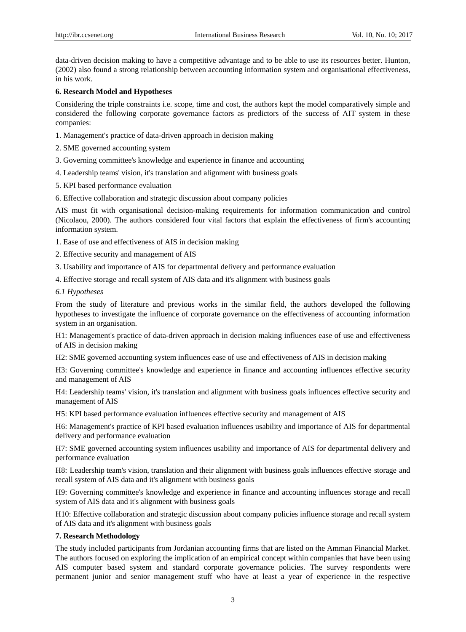data-driven decision making to have a competitive advantage and to be able to use its resources better. Hunton, (2002) also found a strong relationship between accounting information system and organisational effectiveness, in his work.

## **6. Research Model and Hypotheses**

Considering the triple constraints i.e. scope, time and cost, the authors kept the model comparatively simple and considered the following corporate governance factors as predictors of the success of AIT system in these companies:

- 1. Management's practice of data-driven approach in decision making
- 2. SME governed accounting system
- 3. Governing committee's knowledge and experience in finance and accounting
- 4. Leadership teams' vision, it's translation and alignment with business goals
- 5. KPI based performance evaluation
- 6. Effective collaboration and strategic discussion about company policies

AIS must fit with organisational decision-making requirements for information communication and control (Nicolaou, 2000). The authors considered four vital factors that explain the effectiveness of firm's accounting information system.

1. Ease of use and effectiveness of AIS in decision making

- 2. Effective security and management of AIS
- 3. Usability and importance of AIS for departmental delivery and performance evaluation
- 4. Effective storage and recall system of AIS data and it's alignment with business goals

## *6.1 Hypotheses*

From the study of literature and previous works in the similar field, the authors developed the following hypotheses to investigate the influence of corporate governance on the effectiveness of accounting information system in an organisation.

H1: Management's practice of data-driven approach in decision making influences ease of use and effectiveness of AIS in decision making

H2: SME governed accounting system influences ease of use and effectiveness of AIS in decision making

H3: Governing committee's knowledge and experience in finance and accounting influences effective security and management of AIS

H4: Leadership teams' vision, it's translation and alignment with business goals influences effective security and management of AIS

H5: KPI based performance evaluation influences effective security and management of AIS

H6: Management's practice of KPI based evaluation influences usability and importance of AIS for departmental delivery and performance evaluation

H7: SME governed accounting system influences usability and importance of AIS for departmental delivery and performance evaluation

H8: Leadership team's vision, translation and their alignment with business goals influences effective storage and recall system of AIS data and it's alignment with business goals

H9: Governing committee's knowledge and experience in finance and accounting influences storage and recall system of AIS data and it's alignment with business goals

H10: Effective collaboration and strategic discussion about company policies influence storage and recall system of AIS data and it's alignment with business goals

#### **7. Research Methodology**

The study included participants from Jordanian accounting firms that are listed on the Amman Financial Market. The authors focused on exploring the implication of an empirical concept within companies that have been using AIS computer based system and standard corporate governance policies. The survey respondents were permanent junior and senior management stuff who have at least a year of experience in the respective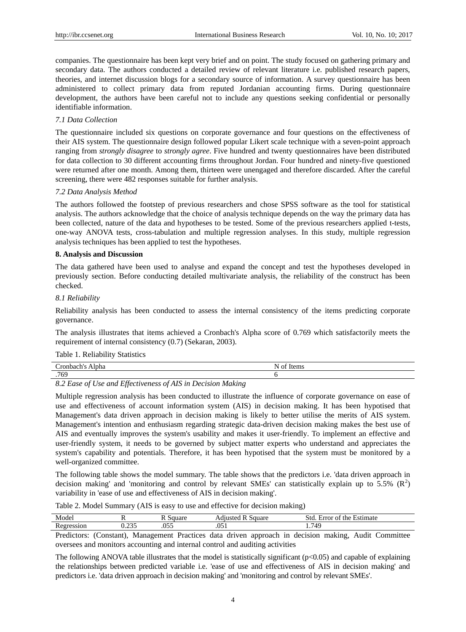companies. The questionnaire has been kept very brief and on point. The study focused on gathering primary and secondary data. The authors conducted a detailed review of relevant literature i.e. published research papers, theories, and internet discussion blogs for a secondary source of information. A survey questionnaire has been administered to collect primary data from reputed Jordanian accounting firms. During questionnaire development, the authors have been careful not to include any questions seeking confidential or personally identifiable information.

# *7.1 Data Collection*

The questionnaire included six questions on corporate governance and four questions on the effectiveness of their AIS system. The questionnaire design followed popular Likert scale technique with a seven-point approach ranging from *strongly disagree* to *strongly agree*. Five hundred and twenty questionnaires have been distributed for data collection to 30 different accounting firms throughout Jordan. Four hundred and ninety-five questioned were returned after one month. Among them, thirteen were unengaged and therefore discarded. After the careful screening, there were 482 responses suitable for further analysis.

# *7.2 Data Analysis Method*

The authors followed the footstep of previous researchers and chose SPSS software as the tool for statistical analysis. The authors acknowledge that the choice of analysis technique depends on the way the primary data has been collected, nature of the data and hypotheses to be tested. Some of the previous researchers applied t-tests, one-way ANOVA tests, cross-tabulation and multiple regression analyses. In this study, multiple regression analysis techniques has been applied to test the hypotheses.

# **8. Analysis and Discussion**

The data gathered have been used to analyse and expand the concept and test the hypotheses developed in previously section. Before conducting detailed multivariate analysis, the reliability of the construct has been checked.

# *8.1 Reliability*

Reliability analysis has been conducted to assess the internal consistency of the items predicting corporate governance.

The analysis illustrates that items achieved a Cronbach's Alpha score of 0.769 which satisfactorily meets the requirement of internal consistency (0.7) (Sekaran, 2003).

#### Table 1. Reliability Statistics

|      | $\sim$ $-$    |
|------|---------------|
| $-$  | $\sim$ $\sim$ |
| . .  |               |
| пона | <b>UC1115</b> |
| .769 |               |

# *8.2 Ease of Use and Effectiveness of AIS in Decision Making*

Multiple regression analysis has been conducted to illustrate the influence of corporate governance on ease of use and effectiveness of account information system (AIS) in decision making. It has been hypotised that Management's data driven approach in decision making is likely to better utilise the merits of AIS system. Management's intention and enthusiasm regarding strategic data-driven decision making makes the best use of AIS and eventually improves the system's usability and makes it user-friendly. To implement an effective and user-friendly system, it needs to be governed by subject matter experts who understand and appreciates the system's capability and potentials. Therefore, it has been hypotised that the system must be monitored by a well-organized committee.

The following table shows the model summary. The table shows that the predictors i.e. 'data driven approach in decision making' and 'monitoring and control by relevant SMEs' can statistically explain up to 5.5%  $(R^2)$ variability in 'ease of use and effectiveness of AIS in decision making'.

Table 2. Model Summary (AIS is easy to use and effective for decision making)

| Model                    |              |               | .0112r<br>лаг | ∟stimate<br>sta<br>the<br>ОI |
|--------------------------|--------------|---------------|---------------|------------------------------|
| $\sqrt{2}$<br>51UI.<br>… | 0.000<br>--- | ハごご<br>. v. v | 14<br>. v.    | 740                          |

Predictors: (Constant), Management Practices data driven approach in decision making, Audit Committee oversees and monitors accounting and internal control and auditing activities

The following ANOVA table illustrates that the model is statistically significant  $(p<0.05)$  and capable of explaining the relationships between predicted variable i.e. 'ease of use and effectiveness of AIS in decision making' and predictors i.e. 'data driven approach in decision making' and 'monitoring and control by relevant SMEs'.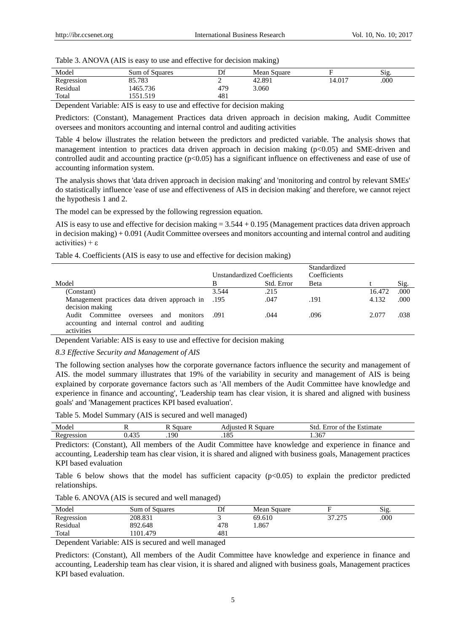| Model      | <b>Sum of Squares</b> | Df  | Mean Square |        | Sig. |
|------------|-----------------------|-----|-------------|--------|------|
| Regression | 85.783                |     | 42.891      | 14.017 | .000 |
| Residual   | 1465.736              | 479 | 3.060       |        |      |
| Total      | 1551.519              | 481 |             |        |      |

Dependent Variable: AIS is easy to use and effective for decision making

Predictors: (Constant), Management Practices data driven approach in decision making, Audit Committee oversees and monitors accounting and internal control and auditing activities

Table 4 below illustrates the relation between the predictors and predicted variable. The analysis shows that management intention to practices data driven approach in decision making (p<0.05) and SME-driven and controlled audit and accounting practice  $(p<0.05)$  has a significant influence on effectiveness and ease of use of accounting information system.

The analysis shows that 'data driven approach in decision making' and 'monitoring and control by relevant SMEs' do statistically influence 'ease of use and effectiveness of AIS in decision making' and therefore, we cannot reject the hypothesis 1 and 2.

The model can be expressed by the following regression equation.

AIS is easy to use and effective for decision making  $= 3.544 + 0.195$  (Management practices data driven approach in decision making) + 0.091 (Audit Committee oversees and monitors accounting and internal control and auditing activities) +  $\varepsilon$ 

Table 4. Coefficients (AIS is easy to use and effective for decision making)

|                                                   |                             |            | Standardized |        |      |
|---------------------------------------------------|-----------------------------|------------|--------------|--------|------|
|                                                   | Unstandardized Coefficients |            | Coefficients |        |      |
| Model                                             | B                           | Std. Error | <b>B</b> eta |        | Sig. |
| (Constant)                                        | 3.544                       | .215       |              | 16.472 | .000 |
| Management practices data driven approach in .195 |                             | .047       | .191         | 4.132  | .000 |
| decision making                                   |                             |            |              |        |      |
| Audit Committee<br>monitors<br>oversees<br>and    | .091                        | .044       | .096         | 2.077  | .038 |
| accounting and internal control and auditing      |                             |            |              |        |      |
| activities                                        |                             |            |              |        |      |

Dependent Variable: AIS is easy to use and effective for decision making

*8.3 Effective Security and Management of AIS*

The following section analyses how the corporate governance factors influence the security and management of AIS. the model summary illustrates that 19% of the variability in security and management of AIS is being explained by corporate governance factors such as 'All members of the Audit Committee have knowledge and experience in finance and accounting', 'Leadership team has clear vision, it is shared and aligned with business goals' and 'Management practices KPI based evaluation'.

Table 5. Model Summary (AIS is secured and well managed)

| Model                                  |      |     | Square | std<br>≾stımate<br>error.<br>the<br>ог |
|----------------------------------------|------|-----|--------|----------------------------------------|
| $\mathbf{r}$<br>ssion<br>ĸe:<br>$\sim$ | т. . | 190 | 185    | $\sim$<br>.30/                         |

Predictors: (Constant), All members of the Audit Committee have knowledge and experience in finance and accounting, Leadership team has clear vision, it is shared and aligned with business goals, Management practices KPI based evaluation

Table 6 below shows that the model has sufficient capacity  $(p<0.05)$  to explain the predictor predicted relationships.

|       | racio 0.1 h \ 0 \11 \ 110 h becared and went managed |    |             |
|-------|------------------------------------------------------|----|-------------|
| Model | Sum of Squares                                       | Df | Mean Square |

Table 6. ANOVA (AIS is secured and well managed)

| Model      | Sum of Squares | Df  | Mean Square |                    | Sig. |
|------------|----------------|-----|-------------|--------------------|------|
| Regression | 208.831        |     | 69.610      | 27 775<br>ر رے ، ر | .000 |
| Residual   | 892.648        | 478 | .867        |                    |      |
| Total      | 1101.479       | 481 |             |                    |      |

Dependent Variable: AIS is secured and well managed

Predictors: (Constant), All members of the Audit Committee have knowledge and experience in finance and accounting, Leadership team has clear vision, it is shared and aligned with business goals, Management practices KPI based evaluation.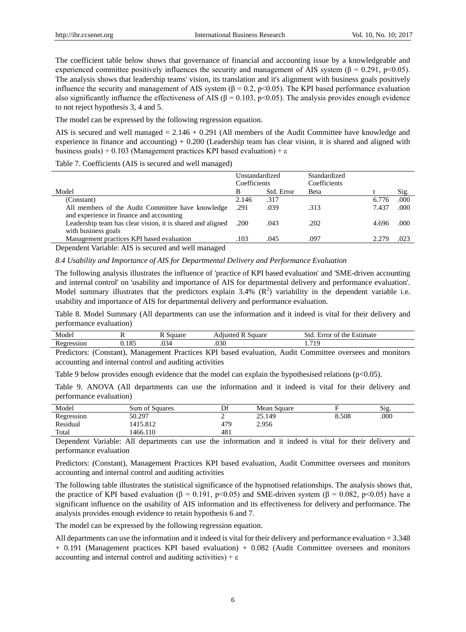The coefficient table below shows that governance of financial and accounting issue by a knowledgeable and experienced committee positively influences the security and management of AIS system ( $\beta = 0.291$ , p<0.05). The analysis shows that leadership teams' vision, its translation and it's alignment with business goals positively influence the security and management of AIS system (β = 0.2, p<0.05). The KPI based performance evaluation also significantly influence the effectiveness of AIS ( $\beta$  = 0.103, p<0.05). The analysis provides enough evidence to not reject hypothesis 3, 4 and 5.

The model can be expressed by the following regression equation.

AIS is secured and well managed  $= 2.146 + 0.291$  (All members of the Audit Committee have knowledge and experience in finance and accounting) + 0.200 (Leadership team has clear vision, it is shared and aligned with business goals) + 0.103 (Management practices KPI based evaluation) +  $\varepsilon$ 

Table 7. Coefficients (AIS is secured and well managed)

|                                                            | Unstandardized<br>Coefficients |            | Standardized<br>Coefficients |       |      |
|------------------------------------------------------------|--------------------------------|------------|------------------------------|-------|------|
| Model                                                      | B                              | Std. Error | Beta                         |       | Sig. |
| (Constant)                                                 | 2.146                          | .317       |                              | 6.776 | .000 |
| All members of the Audit Committee have knowledge          | .291                           | .039       | .313                         | 7.437 | .000 |
| and experience in finance and accounting                   |                                |            |                              |       |      |
| Leadership team has clear vision, it is shared and aligned | .200                           | .043       | .202                         | 4.696 | .000 |
| with business goals                                        |                                |            |                              |       |      |
| Management practices KPI based evaluation                  | .103                           | .045       | .097                         | 2.279 | .023 |
| Densedent Vaniables AIC is assumed and mall managed        |                                |            |                              |       |      |

Dependent Variable: AIS is secured and well managed

## *8.4 Usability and Importance of AIS for Departmental Delivery and Performance Evaluation*

The following analysis illustrates the influence of 'practice of KPI based evaluation' and 'SME-driven accounting and internal control' on 'usability and importance of AIS for departmental delivery and performance evaluation'. Model summary illustrates that the predictors explain 3.4%  $(R^2)$  variability in the dependent variable i.e. usability and importance of AIS for departmental delivery and performance evaluation.

Table 8. Model Summary (All departments can use the information and it indeed is vital for their delivery and performance evaluation)

| Mode.                                           | . .            | $\alpha$ 110 $r$ c<br>nuuare | Square<br>` dilisted.<br>aur | Std<br>Estimate<br>the<br>tror<br>O1 |
|-------------------------------------------------|----------------|------------------------------|------------------------------|--------------------------------------|
| $\overline{\phantom{a}}$<br>ssion<br>۳∩۵۳<br>rс | 105<br>J. I 83 | n n<br>'≺4<br>.v.,           | مصط<br>.UJU                  | / 1 C<br><b>1.11</b>                 |

Predictors: (Constant), Management Practices KPI based evaluation, Audit Committee oversees and monitors accounting and internal control and auditing activities

Table 9 below provides enough evidence that the model can explain the hypothesised relations (p<0.05).

Table 9. ANOVA (All departments can use the information and it indeed is vital for their delivery and performance evaluation)

| Model      | Sum of Squares | n€<br>◡ | Mean Square |       | Sig. |
|------------|----------------|---------|-------------|-------|------|
| Regression | 50.297         |         | 25.149      | 8.508 | .000 |
| Residual   | 1415.812       | 479     | 2.956       |       |      |
| Total      | 1466.110       | 481     |             |       |      |

Dependent Variable: All departments can use the information and it indeed is vital for their delivery and performance evaluation

Predictors: (Constant), Management Practices KPI based evaluation, Audit Committee oversees and monitors accounting and internal control and auditing activities

The following table illustrates the statistical significance of the hypnotised relationships. The analysis shows that, the practice of KPI based evaluation (β = 0.191, p<0.05) and SME-driven system (β = 0.082, p<0.05) have a significant influence on the usability of AIS information and its effectiveness for delivery and performance. The analysis provides enough evidence to retain hypothesis 6 and 7.

The model can be expressed by the following regression equation.

All departments can use the information and it indeed is vital for their delivery and performance evaluation = 3.348 + 0.191 (Management practices KPI based evaluation) + 0.082 (Audit Committee oversees and monitors accounting and internal control and auditing activities) +  $\varepsilon$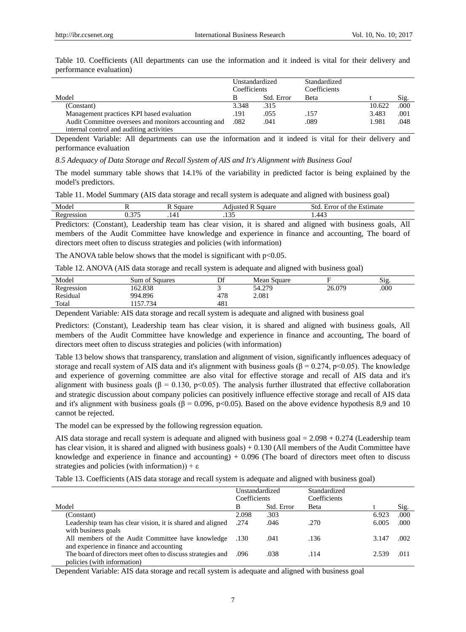|  |                         | Table 10. Coefficients (All departments can use the information and it indeed is vital for their delivery and |  |  |  |  |  |  |  |
|--|-------------------------|---------------------------------------------------------------------------------------------------------------|--|--|--|--|--|--|--|
|  | performance evaluation) |                                                                                                               |  |  |  |  |  |  |  |

|                                                      | Unstandardized |            | Standardized |        |      |
|------------------------------------------------------|----------------|------------|--------------|--------|------|
|                                                      | Coefficients   |            | Coefficients |        |      |
| Model                                                |                | Std. Error | Beta         |        | Sig. |
| (Constant)                                           | 3.348          | .315       |              | 10.622 | .000 |
| Management practices KPI based evaluation            | .191           | .055       | .157         | 3.483  | .001 |
| Audit Committee oversees and monitors accounting and | .082           | .041       | .089         | 1.981  | .048 |
| internal control and auditing activities             |                |            |              |        |      |

Dependent Variable: All departments can use the information and it indeed is vital for their delivery and performance evaluation

*8.5 Adequacy of Data Storage and Recall System of AIS and It's Alignment with Business Goal*

The model summary table shows that 14.1% of the variability in predicted factor is being explained by the model's predictors.

Table 11. Model Summary (AIS data storage and recall system is adequate and aligned with business goal)

| $\mathbf{r}$<br>Model          |                       | quare | square<br>duste<br>к<br>Adiu | $\overline{\phantom{0}}$<br>┑.<br>Estimate<br>error<br>the<br>01<br>Sto |
|--------------------------------|-----------------------|-------|------------------------------|-------------------------------------------------------------------------|
| $\mathbf{r}$<br>ression<br>Reg | $\Delta F$<br><i></i> | .     | $\sim$<br>ں ر                | $\overline{ }$<br>1.443                                                 |

Predictors: (Constant), Leadership team has clear vision, it is shared and aligned with business goals, All members of the Audit Committee have knowledge and experience in finance and accounting, The board of directors meet often to discuss strategies and policies (with information)

The ANOVA table below shows that the model is significant with  $p<0.05$ .

Table 12. ANOVA (AIS data storage and recall system is adequate and aligned with business goal)

| Model      | Sum of Squares |     | Mean Square |        | Sig. |
|------------|----------------|-----|-------------|--------|------|
| Regression | 162.838        |     | 54.279      | 26.079 | .000 |
| Residual   | 994.896        | 478 | 2.081       |        |      |
| Total      | '.734          | 481 |             |        |      |

Dependent Variable: AIS data storage and recall system is adequate and aligned with business goal

Predictors: (Constant), Leadership team has clear vision, it is shared and aligned with business goals, All members of the Audit Committee have knowledge and experience in finance and accounting, The board of directors meet often to discuss strategies and policies (with information)

Table 13 below shows that transparency, translation and alignment of vision, significantly influences adequacy of storage and recall system of AIS data and it's alignment with business goals ( $\beta = 0.274$ , p<0.05). The knowledge and experience of governing committee are also vital for effective storage and recall of AIS data and it's alignment with business goals ( $\beta = 0.130$ , p<0.05). The analysis further illustrated that effective collaboration and strategic discussion about company policies can positively influence effective storage and recall of AIS data and it's alignment with business goals ( $\beta = 0.096$ , p<0.05). Based on the above evidence hypothesis 8,9 and 10 cannot be rejected.

The model can be expressed by the following regression equation.

AIS data storage and recall system is adequate and aligned with business goal = 2.098 + 0.274 (Leadership team has clear vision, it is shared and aligned with business goals) + 0.130 (All members of the Audit Committee have knowledge and experience in finance and accounting) + 0.096 (The board of directors meet often to discuss strategies and policies (with information)) +  $\varepsilon$ 

Table 13. Coefficients (AIS data storage and recall system is adequate and aligned with business goal)

|                                                                                               | Unstandardized<br>Coefficients |            | Standardized<br>Coefficients |       |      |
|-----------------------------------------------------------------------------------------------|--------------------------------|------------|------------------------------|-------|------|
| Model                                                                                         | В                              | Std. Error | <b>B</b> eta                 |       | Sig. |
| (Constant)                                                                                    | 2.098                          | .303       |                              | 6.923 | .000 |
| Leadership team has clear vision, it is shared and aligned<br>with business goals             | .274                           | .046       | .270                         | 6.005 | .000 |
| All members of the Audit Committee have knowledge<br>and experience in finance and accounting | .130                           | .041       | .136                         | 3.147 | .002 |
| The board of directors meet often to discuss strategies and<br>policies (with information)    | .096                           | .038       | .114                         | 2.539 | .011 |

Dependent Variable: AIS data storage and recall system is adequate and aligned with business goal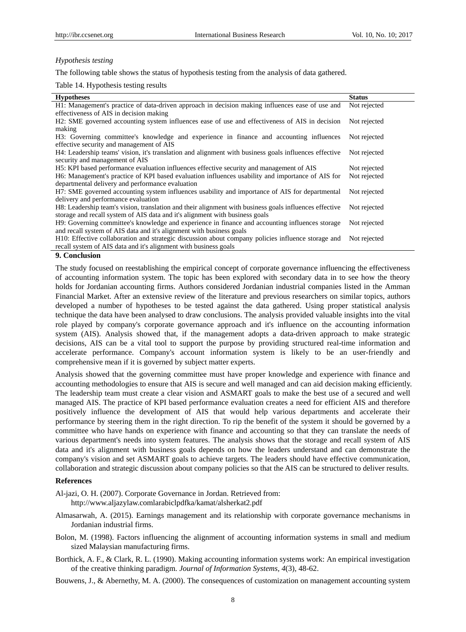#### *Hypothesis testing*

The following table shows the status of hypothesis testing from the analysis of data gathered.

Table 14. Hypothesis testing results

| <b>Hypotheses</b>                                                                                      | <b>Status</b> |
|--------------------------------------------------------------------------------------------------------|---------------|
| H1: Management's practice of data-driven approach in decision making influences ease of use and        | Not rejected  |
| effectiveness of AIS in decision making                                                                |               |
| H2: SME governed accounting system influences ease of use and effectiveness of AIS in decision         | Not rejected  |
| making                                                                                                 |               |
| H3: Governing committee's knowledge and experience in finance and accounting influences                | Not rejected  |
| effective security and management of AIS                                                               |               |
| H4: Leadership teams' vision, it's translation and alignment with business goals influences effective  | Not rejected  |
| security and management of AIS                                                                         |               |
| H5: KPI based performance evaluation influences effective security and management of AIS               | Not rejected  |
| H6: Management's practice of KPI based evaluation influences usability and importance of AIS for       | Not rejected  |
| departmental delivery and performance evaluation                                                       |               |
| H7: SME governed accounting system influences usability and importance of AIS for departmental         | Not rejected  |
| delivery and performance evaluation                                                                    |               |
| H8: Leadership team's vision, translation and their alignment with business goals influences effective | Not rejected  |
| storage and recall system of AIS data and it's alignment with business goals                           |               |
| H9: Governing committee's knowledge and experience in finance and accounting influences storage        | Not rejected  |
| and recall system of AIS data and it's alignment with business goals                                   |               |
| H10: Effective collaboration and strategic discussion about company policies influence storage and     | Not rejected  |
| recall system of AIS data and it's alignment with business goals                                       |               |
| 9. Conclusion                                                                                          |               |

The study focused on reestablishing the empirical concept of corporate governance influencing the effectiveness of accounting information system. The topic has been explored with secondary data in to see how the theory holds for Jordanian accounting firms. Authors considered Jordanian industrial companies listed in the Amman Financial Market. After an extensive review of the literature and previous researchers on similar topics, authors developed a number of hypotheses to be tested against the data gathered. Using proper statistical analysis technique the data have been analysed to draw conclusions. The analysis provided valuable insights into the vital role played by company's corporate governance approach and it's influence on the accounting information system (AIS). Analysis showed that, if the management adopts a data-driven approach to make strategic decisions, AIS can be a vital tool to support the purpose by providing structured real-time information and accelerate performance. Company's account information system is likely to be an user-friendly and comprehensive mean if it is governed by subject matter experts.

Analysis showed that the governing committee must have proper knowledge and experience with finance and accounting methodologies to ensure that AIS is secure and well managed and can aid decision making efficiently. The leadership team must create a clear vision and ASMART goals to make the best use of a secured and well managed AIS. The practice of KPI based performance evaluation creates a need for efficient AIS and therefore positively influence the development of AIS that would help various departments and accelerate their performance by steering them in the right direction. To rip the benefit of the system it should be governed by a committee who have hands on experience with finance and accounting so that they can translate the needs of various department's needs into system features. The analysis shows that the storage and recall system of AIS data and it's alignment with business goals depends on how the leaders understand and can demonstrate the company's vision and set ASMART goals to achieve targets. The leaders should have effective communication, collaboration and strategic discussion about company policies so that the AIS can be structured to deliver results.

## **References**

Al-jazi, O. H. (2007). Corporate Governance in Jordan. Retrieved from:

http://www.aljazylaw.comlarabiclpdfka/kamat/alsherkat2.pdf

- Almasarwah, A. (2015). Earnings management and its relationship with corporate governance mechanisms in Jordanian industrial firms.
- Bolon, M. (1998). Factors influencing the alignment of accounting information systems in small and medium sized Malaysian manufacturing firms.
- Borthick, A. F., & Clark, R. L. (1990). Making accounting information systems work: An empirical investigation of the creative thinking paradigm. *Journal of Information Systems, 4*(3), 48-62.
- Bouwens, J., & Abernethy, M. A. (2000). The consequences of customization on management accounting system